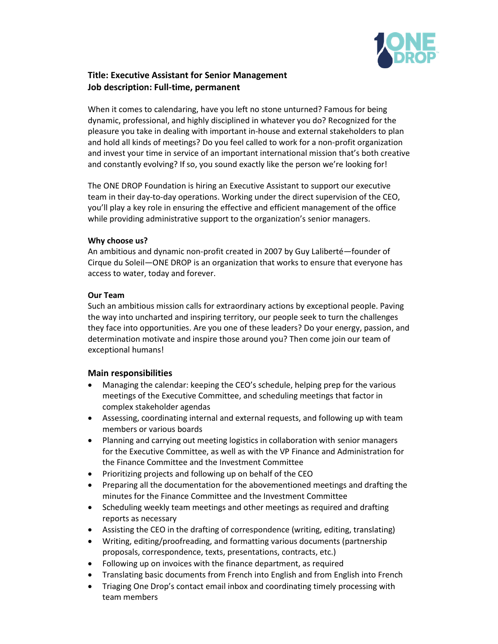

# **Title: Executive Assistant for Senior Management Job description: Full-time, permanent**

When it comes to calendaring, have you left no stone unturned? Famous for being dynamic, professional, and highly disciplined in whatever you do? Recognized for the pleasure you take in dealing with important in-house and external stakeholders to plan and hold all kinds of meetings? Do you feel called to work for a non-profit organization and invest your time in service of an important international mission that's both creative and constantly evolving? If so, you sound exactly like the person we're looking for!

The ONE DROP Foundation is hiring an Executive Assistant to support our executive team in their day-to-day operations. Working under the direct supervision of the CEO, you'll play a key role in ensuring the effective and efficient management of the office while providing administrative support to the organization's senior managers.

## **Why choose us?**

An ambitious and dynamic non-profit created in 2007 by Guy Laliberté—founder of Cirque du Soleil—ONE DROP is an organization that works to ensure that everyone has access to water, today and forever.

#### **Our Team**

Such an ambitious mission calls for extraordinary actions by exceptional people. Paving the way into uncharted and inspiring territory, our people seek to turn the challenges they face into opportunities. Are you one of these leaders? Do your energy, passion, and determination motivate and inspire those around you? Then come join our team of exceptional humans!

## **Main responsibilities**

- Managing the calendar: keeping the CEO's schedule, helping prep for the various meetings of the Executive Committee, and scheduling meetings that factor in complex stakeholder agendas
- Assessing, coordinating internal and external requests, and following up with team members or various boards
- Planning and carrying out meeting logistics in collaboration with senior managers for the Executive Committee, as well as with the VP Finance and Administration for the Finance Committee and the Investment Committee
- Prioritizing projects and following up on behalf of the CEO
- Preparing all the documentation for the abovementioned meetings and drafting the minutes for the Finance Committee and the Investment Committee
- Scheduling weekly team meetings and other meetings as required and drafting reports as necessary
- Assisting the CEO in the drafting of correspondence (writing, editing, translating)
- Writing, editing/proofreading, and formatting various documents (partnership proposals, correspondence, texts, presentations, contracts, etc.)
- Following up on invoices with the finance department, as required
- Translating basic documents from French into English and from English into French
- Triaging One Drop's contact email inbox and coordinating timely processing with team members